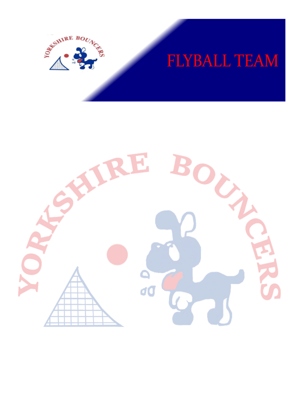

# **FLYBALL TEAM**

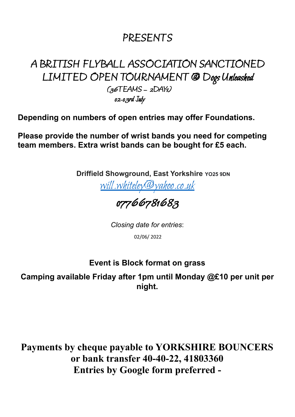## PRESENTS

## A BRITISH FLYBALL ASSOCIATION SANCTIONED LIMITED OPEN TOURNAMENT @ Dogs Unleashed  $(36TEAMS - 2DAYs)$

02-03rd July

**Depending on numbers of open entries may offer Foundations.**

**Please provide the number of wrist bands you need for competing team members. Extra wrist bands can be bought for £5 each.**

**Driffield Showground, East Yorkshire YO25 9DN**

[will.whiteley@yahoo.co.uk](mailto:will.whiteley@yahoo.co.uk)

## 07766781683

*Closing date for entries*:

02/06/ 2022

#### **Event is Block format on grass**

**Camping available Friday after 1pm until Monday @£10 per unit per night.**

**Payments by cheque payable to YORKSHIRE BOUNCERS or bank transfer 40-40-22, 41803360 Entries by Google form preferred -**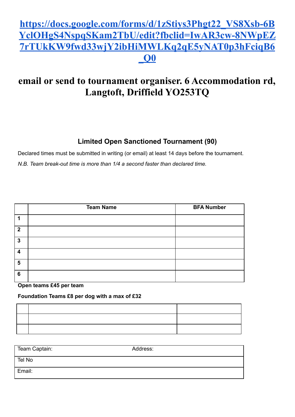#### **[https://docs.google.com/forms/d/1zStiys3Phgt22\\_VS8Xsb-6B](https://docs.google.com/forms/d/1zStiys3Phgt22_VS8Xsb-6BYclOHgS4NspqSKam2TbU/edit?fbclid=IwAR3cw-8NWpEZ7rTUkKW9fwd33wjY2ibHiMWLKq2qE5yNAT0p3hFciqB6_Q0) [YclOHgS4NspqSKam2TbU/edit?fbclid=IwAR3cw-8NWpEZ](https://docs.google.com/forms/d/1zStiys3Phgt22_VS8Xsb-6BYclOHgS4NspqSKam2TbU/edit?fbclid=IwAR3cw-8NWpEZ7rTUkKW9fwd33wjY2ibHiMWLKq2qE5yNAT0p3hFciqB6_Q0) [7rTUkKW9fwd33wjY2ibHiMWLKq2qE5yNAT0p3hFciqB6](https://docs.google.com/forms/d/1zStiys3Phgt22_VS8Xsb-6BYclOHgS4NspqSKam2TbU/edit?fbclid=IwAR3cw-8NWpEZ7rTUkKW9fwd33wjY2ibHiMWLKq2qE5yNAT0p3hFciqB6_Q0) [\\_Q0](https://docs.google.com/forms/d/1zStiys3Phgt22_VS8Xsb-6BYclOHgS4NspqSKam2TbU/edit?fbclid=IwAR3cw-8NWpEZ7rTUkKW9fwd33wjY2ibHiMWLKq2qE5yNAT0p3hFciqB6_Q0)**

#### **email or send to tournament organiser. 6 Accommodation rd, Langtoft, Driffield YO253TQ**

#### **Limited Open Sanctioned Tournament (90)**

Declared times must be submitted in writing (or email) at least 14 days before the tournament.

*N.B. Team break-out time is more than 1/4 a second faster than declared time.*

|                         | <b>Team Name</b> | <b>BFA Number</b> |
|-------------------------|------------------|-------------------|
|                         |                  |                   |
| $\overline{\mathbf{2}}$ |                  |                   |
| 3                       |                  |                   |
| л                       |                  |                   |
| 5                       |                  |                   |
| 6                       |                  |                   |

#### **Open teams £45 per team**

**Foundation Teams £8 per dog with a max of £32**

| Team Captain: | Address: |
|---------------|----------|
| Tel No        |          |
| Email:        |          |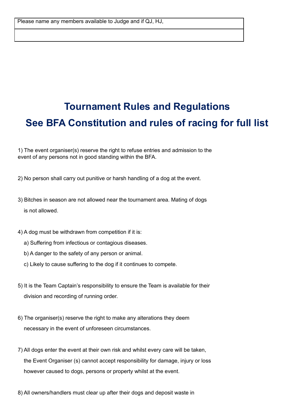# **Tournament Rules and Regulations See BFA Constitution and rules of racing for full list**

1) The event organiser(s) reserve the right to refuse entries and admission to the event of any persons not in good standing within the BFA.

- 2) No person shall carry out punitive or harsh handling of a dog at the event.
- 3) Bitches in season are not allowed near the tournament area. Mating of dogs is not allowed.
- 4) A dog must be withdrawn from competition if it is:
	- a) Suffering from infectious or contagious diseases.
	- b) A danger to the safety of any person or animal.
	- c) Likely to cause suffering to the dog if it continues to compete.
- 5) It is the Team Captain's responsibility to ensure the Team is available for their division and recording of running order.
- 6) The organiser(s) reserve the right to make any alterations they deem necessary in the event of unforeseen circumstances.
- 7) All dogs enter the event at their own risk and whilst every care will be taken, the Event Organiser (s) cannot accept responsibility for damage, injury or loss however caused to dogs, persons or property whilst at the event.
- 8) All owners/handlers must clear up after their dogs and deposit waste in